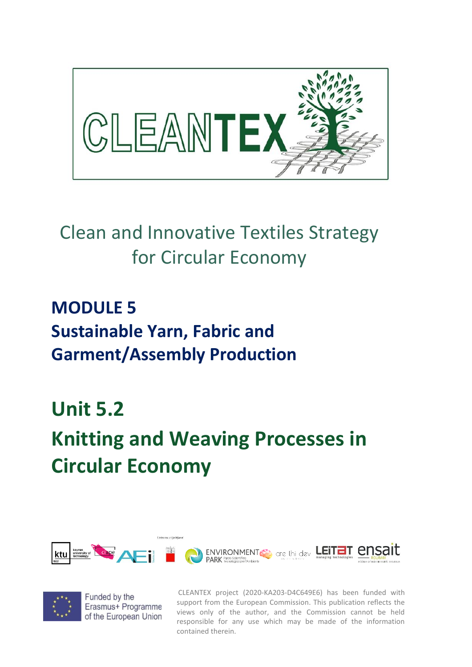

## Clean and Innovative Textiles Strategy for Circular Economy

### **MODULE 5 Sustainable Yarn, Fabric and Garment/Assembly Production**

#### **Unit 5.2**

# **Knitting and Weaving Processes in Circular Economy**





Funded by the Erasmus+ Programme of the European Union

CLEANTEX project (2020-KA203-D4C649E6) has been funded with support from the European Commission. This publication reflects the views only of the author, and the Commission cannot be held responsible for any use which may be made of the information contained therein.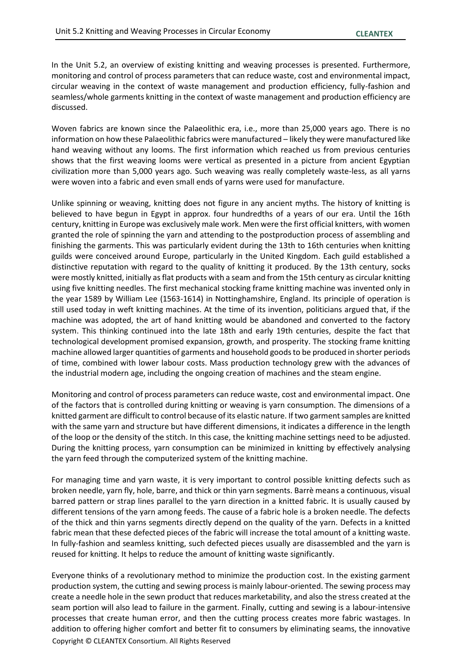In the Unit 5.2, an overview of existing knitting and weaving processes is presented. Furthermore, monitoring and control of process parameters that can reduce waste, cost and environmental impact, circular weaving in the context of waste management and production efficiency, fully-fashion and seamless/whole garments knitting in the context of waste management and production efficiency are discussed.

Woven fabrics are known since the Palaeolithic era, i.e., more than 25,000 years ago. There is no information on how these Palaeolithic fabrics were manufactured – likely they were manufactured like hand weaving without any looms. The first information which reached us from previous centuries shows that the first weaving looms were vertical as presented in a picture from ancient Egyptian civilization more than 5,000 years ago. Such weaving was really completely waste-less, as all yarns were woven into a fabric and even small ends of yarns were used for manufacture.

Unlike spinning or weaving, knitting does not figure in any ancient myths. The history of knitting is believed to have begun in Egypt in approx. four hundredths of a years of our era. Until the 16th century, knitting in Europe was exclusively male work. Men were the first official knitters, with women granted the role of spinning the yarn and attending to the postproduction process of assembling and finishing the garments. This was particularly evident during the 13th to 16th centuries when knitting guilds were conceived around Europe, particularly in the United Kingdom. Each guild established a distinctive reputation with regard to the quality of knitting it produced. By the 13th century, socks were mostly knitted, initially as flat products with a seam and from the 15th century as circular knitting using five knitting needles. The first mechanical stocking frame knitting machine was invented only in the year 1589 by William Lee (1563-1614) in Nottinghamshire, England. Its principle of operation is still used today in weft knitting machines. At the time of its invention, politicians argued that, if the machine was adopted, the art of hand knitting would be abandoned and converted to the factory system. This thinking continued into the late 18th and early 19th centuries, despite the fact that technological development promised expansion, growth, and prosperity. The stocking frame knitting machine allowed larger quantities of garments and household goods to be produced in shorter periods of time, combined with lower labour costs. Mass production technology grew with the advances of the industrial modern age, including the ongoing creation of machines and the steam engine.

Monitoring and control of process parameters can reduce waste, cost and environmental impact. One of the factors that is controlled during knitting or weaving is yarn consumption. The dimensions of a knitted garment are difficult to control because of its elastic nature. If two garment samples are knitted with the same yarn and structure but have different dimensions, it indicates a difference in the length of the loop or the density of the stitch. In this case, the knitting machine settings need to be adjusted. During the knitting process, yarn consumption can be minimized in knitting by effectively analysing the yarn feed through the computerized system of the knitting machine.

For managing time and yarn waste, it is very important to control possible knitting defects such as broken needle, yarn fly, hole, barre, and thick or thin yarn segments. Barrè means a continuous, visual barred pattern or strap lines parallel to the yarn direction in a knitted fabric. It is usually caused by different tensions of the yarn among feeds. The cause of a fabric hole is a broken needle. The defects of the thick and thin yarns segments directly depend on the quality of the yarn. Defects in a knitted fabric mean that these defected pieces of the fabric will increase the total amount of a knitting waste. In fully-fashion and seamless knitting, such defected pieces usually are disassembled and the yarn is reused for knitting. It helps to reduce the amount of knitting waste significantly.

Copyright © CLEANTEX Consortium. All Rights Reserved Everyone thinks of a revolutionary method to minimize the production cost. In the existing garment production system, the cutting and sewing process is mainly labour-oriented. The sewing process may create a needle hole in the sewn product that reduces marketability, and also the stress created at the seam portion will also lead to failure in the garment. Finally, cutting and sewing is a labour-intensive processes that create human error, and then the cutting process creates more fabric wastages. In addition to offering higher comfort and better fit to consumers by eliminating seams, the innovative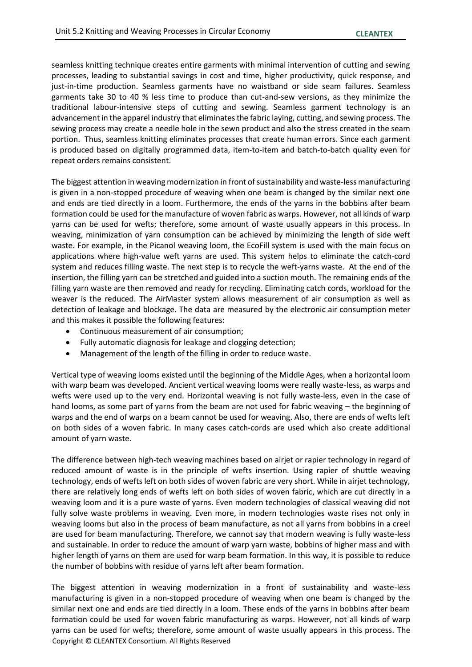seamless knitting technique creates entire garments with minimal intervention of cutting and sewing processes, leading to substantial savings in cost and time, higher productivity, quick response, and just-in-time production. Seamless garments have no waistband or side seam failures. Seamless garments take 30 to 40 % less time to produce than cut-and-sew versions, as they minimize the traditional labour-intensive steps of cutting and sewing. Seamless garment technology is an advancement in the apparel industry that eliminates the fabric laying, cutting, and sewing process. The sewing process may create a needle hole in the sewn product and also the stress created in the seam portion. Thus, seamless knitting eliminates processes that create human errors. Since each garment is produced based on digitally programmed data, item-to-item and batch-to-batch quality even for repeat orders remains consistent.

The biggest attention in weaving modernization in front of sustainability and waste-less manufacturing is given in a non-stopped procedure of weaving when one beam is changed by the similar next one and ends are tied directly in a loom. Furthermore, the ends of the yarns in the bobbins after beam formation could be used for the manufacture of woven fabric as warps. However, not all kinds of warp yarns can be used for wefts; therefore, some amount of waste usually appears in this process. In weaving, minimization of yarn consumption can be achieved by minimizing the length of side weft waste. For example, in the Picanol weaving loom, the EcoFill system is used with the main focus on applications where high-value weft yarns are used. This system helps to eliminate the catch-cord system and reduces filling waste. The next step is to recycle the weft-yarns waste. At the end of the insertion, the filling yarn can be stretched and guided into a suction mouth. The remaining ends of the filling yarn waste are then removed and ready for recycling. Eliminating catch cords, workload for the weaver is the reduced. The AirMaster system allows measurement of air consumption as well as detection of leakage and blockage. The data are measured by the electronic air consumption meter and this makes it possible the following features:

- Continuous measurement of air consumption;
- Fully automatic diagnosis for leakage and clogging detection;
- Management of the length of the filling in order to reduce waste.

Vertical type of weaving looms existed until the beginning of the Middle Ages, when a horizontal loom with warp beam was developed. Ancient vertical weaving looms were really waste-less, as warps and wefts were used up to the very end. Horizontal weaving is not fully waste-less, even in the case of hand looms, as some part of yarns from the beam are not used for fabric weaving – the beginning of warps and the end of warps on a beam cannot be used for weaving. Also, there are ends of wefts left on both sides of a woven fabric. In many cases catch-cords are used which also create additional amount of yarn waste.

The difference between high-tech weaving machines based on airjet or rapier technology in regard of reduced amount of waste is in the principle of wefts insertion. Using rapier of shuttle weaving technology, ends of wefts left on both sides of woven fabric are very short. While in airjet technology, there are relatively long ends of wefts left on both sides of woven fabric, which are cut directly in a weaving loom and it is a pure waste of yarns. Even modern technologies of classical weaving did not fully solve waste problems in weaving. Even more, in modern technologies waste rises not only in weaving looms but also in the process of beam manufacture, as not all yarns from bobbins in a creel are used for beam manufacturing. Therefore, we cannot say that modern weaving is fully waste-less and sustainable. In order to reduce the amount of warp yarn waste, bobbins of higher mass and with higher length of yarns on them are used for warp beam formation. In this way, it is possible to reduce the number of bobbins with residue of yarns left after beam formation.

Copyright © CLEANTEX Consortium. All Rights Reserved The biggest attention in weaving modernization in a front of sustainability and waste-less manufacturing is given in a non-stopped procedure of weaving when one beam is changed by the similar next one and ends are tied directly in a loom. These ends of the yarns in bobbins after beam formation could be used for woven fabric manufacturing as warps. However, not all kinds of warp yarns can be used for wefts; therefore, some amount of waste usually appears in this process. The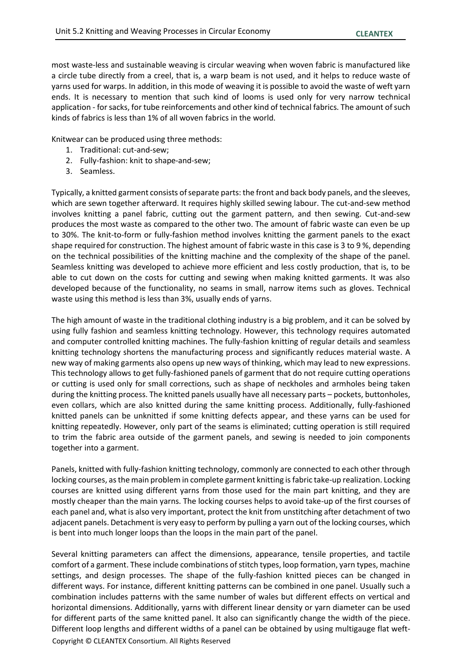most waste-less and sustainable weaving is circular weaving when woven fabric is manufactured like a circle tube directly from a creel, that is, a warp beam is not used, and it helps to reduce waste of yarns used for warps. In addition, in this mode of weaving it is possible to avoid the waste of weft yarn ends. It is necessary to mention that such kind of looms is used only for very narrow technical application - for sacks, for tube reinforcements and other kind of technical fabrics. The amount of such kinds of fabrics is less than 1% of all woven fabrics in the world.

Knitwear can be produced using three methods:

- 1. Traditional: cut-and-sew;
- 2. Fully-fashion: knit to shape-and-sew;
- 3. Seamless.

Typically, a knitted garment consists of separate parts: the front and back body panels, and the sleeves, which are sewn together afterward. It requires highly skilled sewing labour. The cut-and-sew method involves knitting a panel fabric, cutting out the garment pattern, and then sewing. Cut-and-sew produces the most waste as compared to the other two. The amount of fabric waste can even be up to 30%. The knit-to-form or fully-fashion method involves knitting the garment panels to the exact shape required for construction. The highest amount of fabric waste in this case is 3 to 9 %, depending on the technical possibilities of the knitting machine and the complexity of the shape of the panel. Seamless knitting was developed to achieve more efficient and less costly production, that is, to be able to cut down on the costs for cutting and sewing when making knitted garments. It was also developed because of the functionality, no seams in small, narrow items such as gloves. Technical waste using this method is less than 3%, usually ends of yarns.

The high amount of waste in the traditional clothing industry is a big problem, and it can be solved by using fully fashion and seamless knitting technology. However, this technology requires automated and computer controlled knitting machines. The fully-fashion knitting of regular details and seamless knitting technology shortens the manufacturing process and significantly reduces material waste. A new way of making garments also opens up new ways of thinking, which may lead to new expressions. This technology allows to get fully-fashioned panels of garment that do not require cutting operations or cutting is used only for small corrections, such as shape of neckholes and armholes being taken during the knitting process. The knitted panels usually have all necessary parts – pockets, buttonholes, even collars, which are also knitted during the same knitting process. Additionally, fully-fashioned knitted panels can be unknitted if some knitting defects appear, and these yarns can be used for knitting repeatedly. However, only part of the seams is eliminated; cutting operation is still required to trim the fabric area outside of the garment panels, and sewing is needed to join components together into a garment.

Panels, knitted with fully-fashion knitting technology, commonly are connected to each other through locking courses, as the main problem in complete garment knitting is fabric take-up realization. Locking courses are knitted using different yarns from those used for the main part knitting, and they are mostly cheaper than the main yarns. The locking courses helps to avoid take-up of the first courses of each panel and, what is also very important, protect the knit from unstitching after detachment of two adjacent panels. Detachment is very easy to perform by pulling a yarn out of the locking courses, which is bent into much longer loops than the loops in the main part of the panel.

Copyright © CLEANTEX Consortium. All Rights Reserved Several knitting parameters can affect the dimensions, appearance, tensile properties, and tactile comfort of a garment. These include combinations of stitch types, loop formation, yarn types, machine settings, and design processes. The shape of the fully-fashion knitted pieces can be changed in different ways. For instance, different knitting patterns can be combined in one panel. Usually such a combination includes patterns with the same number of wales but different effects on vertical and horizontal dimensions. Additionally, yarns with different linear density or yarn diameter can be used for different parts of the same knitted panel. It also can significantly change the width of the piece. Different loop lengths and different widths of a panel can be obtained by using multigauge flat weft-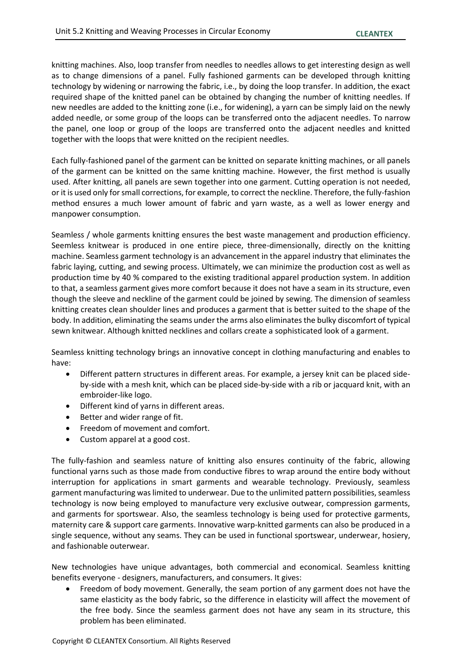knitting machines. Also, loop transfer from needles to needles allows to get interesting design as well as to change dimensions of a panel. Fully fashioned garments can be developed through knitting technology by widening or narrowing the fabric, i.e., by doing the loop transfer. In addition, the exact required shape of the knitted panel can be obtained by changing the number of knitting needles. If new needles are added to the knitting zone (i.e., for widening), a yarn can be simply laid on the newly added needle, or some group of the loops can be transferred onto the adjacent needles. To narrow the panel, one loop or group of the loops are transferred onto the adjacent needles and knitted together with the loops that were knitted on the recipient needles.

Each fully-fashioned panel of the garment can be knitted on separate knitting machines, or all panels of the garment can be knitted on the same knitting machine. However, the first method is usually used. After knitting, all panels are sewn together into one garment. Cutting operation is not needed, or it is used only for small corrections, for example, to correct the neckline. Therefore, the fully-fashion method ensures a much lower amount of fabric and yarn waste, as a well as lower energy and manpower consumption.

Seamless / whole garments knitting ensures the best waste management and production efficiency. Seemless knitwear is produced in one entire piece, three-dimensionally, directly on the knitting machine. Seamless garment technology is an advancement in the apparel industry that eliminates the fabric laying, cutting, and sewing process. Ultimately, we can minimize the production cost as well as production time by 40 % compared to the existing traditional apparel production system. In addition to that, a seamless garment gives more comfort because it does not have a seam in its structure, even though the sleeve and neckline of the garment could be joined by sewing. The dimension of seamless knitting creates clean shoulder lines and produces a garment that is better suited to the shape of the body. In addition, eliminating the seams under the arms also eliminates the bulky discomfort of typical sewn knitwear. Although knitted necklines and collars create a sophisticated look of a garment.

Seamless knitting technology brings an innovative concept in clothing manufacturing and enables to have:

- Different pattern structures in different areas. For example, a jersey knit can be placed sideby-side with a mesh knit, which can be placed side-by-side with a rib or jacquard knit, with an embroider-like logo.
- Different kind of yarns in different areas.
- Better and wider range of fit.
- Freedom of movement and comfort.
- Custom apparel at a good cost.

The fully-fashion and seamless nature of knitting also ensures continuity of the fabric, allowing functional yarns such as those made from conductive fibres to wrap around the entire body without interruption for applications in smart garments and wearable technology. Previously, seamless garment manufacturing was limited to underwear. Due to the unlimited pattern possibilities, seamless technology is now being employed to manufacture very exclusive outwear, compression garments, and garments for sportswear. Also, the seamless technology is being used for protective garments, maternity care & support care garments. Innovative warp-knitted garments can also be produced in a single sequence, without any seams. They can be used in functional sportswear, underwear, hosiery, and fashionable outerwear.

New technologies have unique advantages, both commercial and economical. Seamless knitting benefits everyone - designers, manufacturers, and consumers. It gives:

• Freedom of body movement. Generally, the seam portion of any garment does not have the same elasticity as the body fabric, so the difference in elasticity will affect the movement of the free body. Since the seamless garment does not have any seam in its structure, this problem has been eliminated.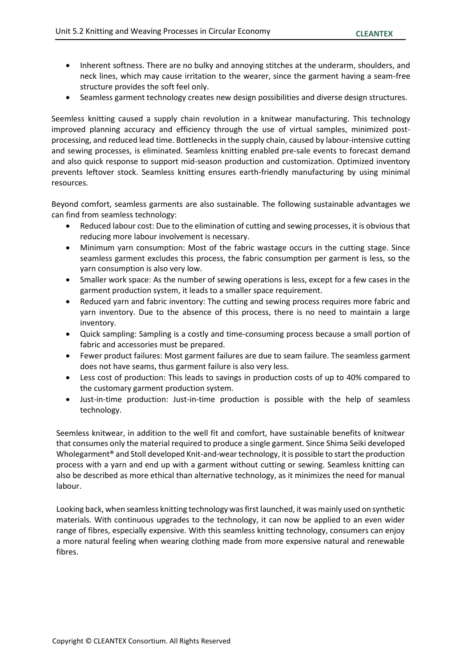- Inherent softness. There are no bulky and annoying stitches at the underarm, shoulders, and neck lines, which may cause irritation to the wearer, since the garment having a seam-free structure provides the soft feel only.
- Seamless garment technology creates new design possibilities and diverse design structures.

Seemless knitting caused a supply chain revolution in a knitwear manufacturing. This technology improved planning accuracy and efficiency through the use of virtual samples, minimized postprocessing, and reduced lead time. Bottlenecks in the supply chain, caused by labour-intensive cutting and sewing processes, is eliminated. Seamless knitting enabled pre-sale events to forecast demand and also quick response to support mid-season production and customization. Optimized inventory prevents leftover stock. Seamless knitting ensures earth-friendly manufacturing by using minimal resources.

Beyond comfort, seamless garments are also sustainable. The following sustainable advantages we can find from seamless technology:

- Reduced labour cost: Due to the elimination of cutting and sewing processes, it is obvious that reducing more labour involvement is necessary.
- Minimum yarn consumption: Most of the fabric wastage occurs in the cutting stage. Since seamless garment excludes this process, the fabric consumption per garment is less, so the yarn consumption is also very low.
- Smaller work space: As the number of sewing operations is less, except for a few cases in the garment production system, it leads to a smaller space requirement.
- Reduced yarn and fabric inventory: The cutting and sewing process requires more fabric and yarn inventory. Due to the absence of this process, there is no need to maintain a large inventory.
- Quick sampling: Sampling is a costly and time-consuming process because a small portion of fabric and accessories must be prepared.
- Fewer product failures: Most garment failures are due to seam failure. The seamless garment does not have seams, thus garment failure is also very less.
- Less cost of production: This leads to savings in production costs of up to 40% compared to the customary garment production system.
- Just-in-time production: Just-in-time production is possible with the help of seamless technology.

Seemless knitwear, in addition to the well fit and comfort, have sustainable benefits of knitwear that consumes only the material required to produce a single garment. Since Shima Seiki developed Wholegarment<sup>®</sup> and Stoll developed Knit-and-wear technology, it is possible to start the production process with a yarn and end up with a garment without cutting or sewing. Seamless knitting can also be described as more ethical than alternative technology, as it minimizes the need for manual labour.

Looking back, when seamless knitting technology was first launched, it was mainly used on synthetic materials. With continuous upgrades to the technology, it can now be applied to an even wider range of fibres, especially expensive. With this seamless knitting technology, consumers can enjoy a more natural feeling when wearing clothing made from more expensive natural and renewable fibres.